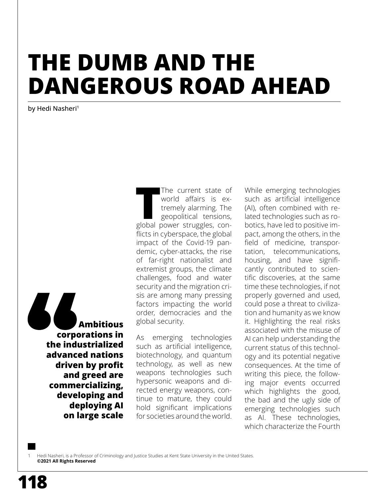# **THE DUMB AND THE DANGEROUS ROAD AHEAD**

by Hedi Nasheri<sup>1</sup>

**Ambitious corporations in the industrialized advanced nations driven by profit and greed are commercializing, developing and deploying AI on large scale** The current state of<br>
world affairs is ex-<br>
tremely alarming. The<br>
geopolitical tensions,<br>
global power struggles, con-The current state of world affairs is extremely alarming. The geopolitical tensions, flicts in cyberspace, the global impact of the Covid-19 pandemic, cyber-attacks, the rise of far-right nationalist and extremist groups, the climate challenges, food and water security and the migration crisis are among many pressing factors impacting the world order, democracies and the global security. <sup>1</sup>

As emerging technologies such as artificial intelligence, biotechnology, and quantum technology, as well as new weapons technologies such hypersonic weapons and directed energy weapons, continue to mature, they could hold significant implications for societies around the world.

While emerging technologies such as artificial intelligence (AI), often combined with related technologies such as robotics, have led to positive impact, among the others, in the field of medicine, transportation, telecommunications, housing, and have significantly contributed to scientific discoveries, at the same time these technologies, if not properly governed and used, could pose a threat to civilization and humanity as we know it. Highlighting the real risks associated with the misuse of AI can help understanding the current status of this technology and its potential negative consequences. At the time of writing this piece, the following major events occurred which highlights the good, the bad and the ugly side of emerging technologies such as AI. These technologies, which characterize the Fourth

Hedi Nasheri, is a Professor of Criminology and Justice Studies at Kent State University in the United States. **©2021 All Rights Reserved**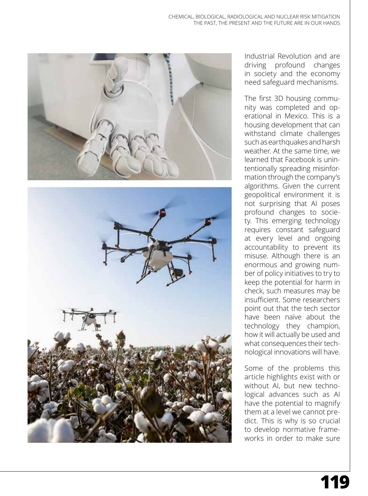



Industrial Revolution and are driving profound changes in society and the economy need safeguard mechanisms.

The first 3D housing community was completed and operational in Mexico. This is a housing development that can withstand climate challenges such as earthquakes and harsh weather. At the same time, we learned that Facebook is unintentionally spreading misinformation through the company's algorithms. Given the current geopolitical environment it is not surprising that AI poses profound changes to society. This emerging technology requires constant safeguard at every level and ongoing accountability to prevent its misuse. Although there is an enormous and growing number of policy initiatives to try to keep the potential for harm in check, such measures may be insufficient. Some researchers point out that the tech sector have been naïve about the technology they champion, how it will actually be used and what consequences their technological innovations will have.

Some of the problems this article highlights exist with or without AI, but new technological advances such as AI have the potential to magnify them at a level we cannot predict. This is why is so crucial to develop normative frameworks in order to make sure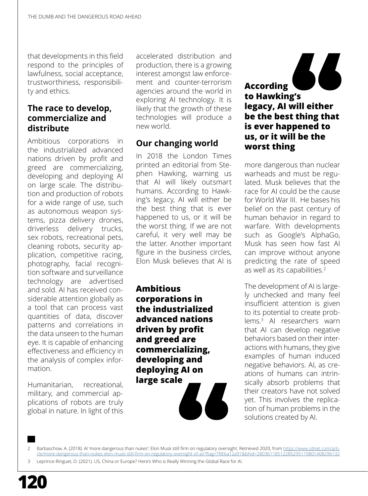that developments in this field respond to the principles of lawfulness, social acceptance, trustworthiness, responsibility and ethics.

#### **The race to develop, commercialize and distribute**

Ambitious corporations in the industrialized advanced nations driven by profit and greed are commercializing, developing and deploying AI on large scale. The distribution and production of robots for a wide range of use, such as autonomous weapon systems, pizza delivery drones, driverless delivery trucks, sex robots, recreational pets, cleaning robots, security application, competitive racing, photography, facial recognition software and surveillance technology are advertised and sold. AI has received considerable attention globally as a tool that can process vast quantities of data, discover patterns and correlations in the data unseen to the human eye. It is capable of enhancing effectiveness and efficiency in the analysis of complex information.

Humanitarian, recreational, military, and commercial applications of robots are truly global in nature. In light of this accelerated distribution and production, there is a growing interest amongst law enforcement and counter-terrorism agencies around the world in exploring AI technology. It is likely that the growth of these technologies will produce a new world.

## **Our changing world**

In 2018 the London Times printed an editorial from Stephen Hawking, warning us that AI will likely outsmart humans. According to Hawking's legacy, AI will either be the best thing that is ever happened to us, or it will be the worst thing. If we are not careful, it very well may be the latter. Another important figure in the business circles, Elon Musk believes that AI is

**Ambitious corporations in the industrialized advanced nations driven by profit and greed are commercializing, developing and deploying AI on large scale**

66 **According to Hawking's legacy, AI will either be the best thing that is ever happened to us, or it will be the worst thing**

more dangerous than nuclear warheads and must be regulated. Musk believes that the race for AI could be the cause for World War III. He bases his belief on the past century of human behavior in regard to warfare. With developments such as Google's AlphaGo, Musk has seen how fast AI can improve without anyone predicting the rate of speed as well as its capabilities.<sup>2</sup>

The development of AI is largely unchecked and many feel insufficient attention is given to its potential to create problems.<sup>3</sup> AI researchers warn that AI can develop negative behaviors based on their interactions with humans, they give examples of human induced negative behaviors. AI, as creations of humans can intrinsically absorb problems that their creators have not solved yet. This involves the replication of human problems in the solutions created by AI.

Barbaschow, A. (2018). AI 'more dangerous than nukes': Elon Musk still firm on regulatory oversight. Retrieved 2020, from [https://www.zdnet.com/arti](https://www.zdnet.com/article/more-dangerous-than-nukes-elon-musk-still-firm-on-regulatory-oversight-of-ai/?ftag=TRE6a12a91&bhid=28036118512285295119801408296132)[cle/more-dangerous-than-nukes-elon-musk-still-firm-on-regulatory-oversight-of-ai/?ftag=TRE6a12a91&bhid=28036118512285295119801408296132](https://www.zdnet.com/article/more-dangerous-than-nukes-elon-musk-still-firm-on-regulatory-oversight-of-ai/?ftag=TRE6a12a91&bhid=28036118512285295119801408296132)

Leprince-Ringuet, D. (2021). US, China or Europe? Here's Who is Really Winning the Global Race for AI.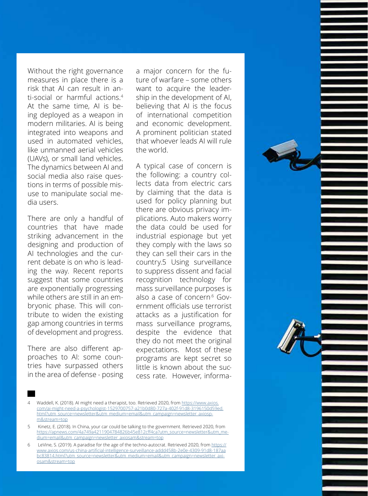Without the right governance measures in place there is a risk that AI can result in an ti-social or harmful actions. 4 At the same time, AI is be ing deployed as a weapon in modern militaries. AI is being integrated into weapons and used in automated vehicles, like unmanned aerial vehicles (UAVs), or small land vehicles. The dynamics between AI and social media also raise ques tions in terms of possible mis use to manipulate social me dia users.

There are only a handful of countries that have made striking advancement in the designing and production of AI technologies and the current debate is on who is leading the way. Recent reports suggest that some countries are exponentially progressing while others are still in an em bryonic phase. This will con tribute to widen the existing gap among countries in terms of development and progress.

There are also different ap proaches to AI: some coun tries have surpassed others in the area of defense - posing

a major concern for the fu ture of warfare – some others want to acquire the leadership in the development of AI, believing that AI is the focus of international competition and economic development. A prominent politician stated that whoever leads AI will rule the world.

A typical case of concern is the following: a country col lects data from electric cars by claiming that the data is used for policy planning but there are obvious privacy im plications. Auto makers worry the data could be used for industrial espionage but yet they comply with the laws so they can sell their cars in the country.5 Using surveillance to suppress dissent and facial recognition technology for mass surveillance purposes is also a case of concern<sup>.6</sup> Government officials use terrorist attacks as a justification for mass surveillance programs, despite the evidence that they do not meet the original expectations. Most of these programs are kept secret so little is known about the success rate. However, informa-

4 Waddell, K. (2018). AI might need a therapist, too. Retrieved 2020, from [https://www.axios.](https://www.axios.com/ai-might-need-a-psychologist-1529700757-a21b0d80-727a-402f-91d8-3196150d59ed.html?utm_source=newsletter&utm_medium=email&utm_campaign=newsletter_axiospm&stream=top) [com/ai-might-need-a-psychologist-1529700757-a21b0d80-727a-402f-91d8-3196150d59ed.](https://www.axios.com/ai-might-need-a-psychologist-1529700757-a21b0d80-727a-402f-91d8-3196150d59ed.html?utm_source=newsletter&utm_medium=email&utm_campaign=newsletter_axiospm&stream=top) [html?utm\\_source=newsletter&utm\\_medium=email&utm\\_campaign=newsletter\\_axiosp](https://www.axios.com/ai-might-need-a-psychologist-1529700757-a21b0d80-727a-402f-91d8-3196150d59ed.html?utm_source=newsletter&utm_medium=email&utm_campaign=newsletter_axiospm&stream=top) [m&stream=top](https://www.axios.com/ai-might-need-a-psychologist-1529700757-a21b0d80-727a-402f-91d8-3196150d59ed.html?utm_source=newsletter&utm_medium=email&utm_campaign=newsletter_axiospm&stream=top)

5 Kinetz, E. (2018). In China, your car could be talking to the government. Retrieved 2020, from [https://apnews.com/4a749a4211904784826b45e812cff4ca?utm\\_source=newsletter&utm\\_me](https://apnews.com/4a749a4211904784826b45e812cff4ca?utm_source=newsletter&utm_medium=email&utm_campaign=newsletter_axiosam&stream=top) [dium=email&utm\\_campaign=newsletter\\_axiosam&stream=top](https://apnews.com/4a749a4211904784826b45e812cff4ca?utm_source=newsletter&utm_medium=email&utm_campaign=newsletter_axiosam&stream=top)

6 LeVine, S. (2019). A paradise for the age of the techno-autocrat. Retrieved 2020, from [https://](https://www.axios.com/us-china-artificial-intelligence-surveillance-addd458b-2e0e-4309-91d8-187aabc83814.html?utm_source=newsletter&utm_medium=email&utm_campaign=newsletter_axiosam&stream=top) [www.axios.com/us-china-artificial-intelligence-surveillance-addd458b-2e0e-4309-91d8-187aa](https://www.axios.com/us-china-artificial-intelligence-surveillance-addd458b-2e0e-4309-91d8-187aabc83814.html?utm_source=newsletter&utm_medium=email&utm_campaign=newsletter_axiosam&stream=top) [bc83814.html?utm\\_source=newsletter&utm\\_medium=email&utm\\_campaign=newsletter\\_axi](https://www.axios.com/us-china-artificial-intelligence-surveillance-addd458b-2e0e-4309-91d8-187aabc83814.html?utm_source=newsletter&utm_medium=email&utm_campaign=newsletter_axiosam&stream=top) [osam&stream=top](https://www.axios.com/us-china-artificial-intelligence-surveillance-addd458b-2e0e-4309-91d8-187aabc83814.html?utm_source=newsletter&utm_medium=email&utm_campaign=newsletter_axiosam&stream=top)

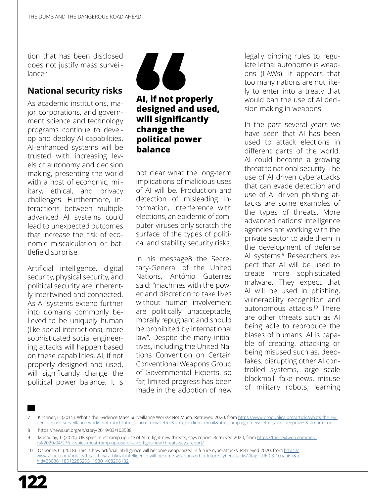tion that has been disclosed does not justify mass surveillance.7

#### **National security risks**

As academic institutions, major corporations, and government science and technology programs continue to develop and deploy AI capabilities, AI-enhanced systems will be trusted with increasing levels of autonomy and decision making, presenting the world with a host of economic, military, ethical, and privacy challenges. Furthermore, interactions between multiple advanced AI systems could lead to unexpected outcomes that increase the risk of economic miscalculation or battlefield surprise.

Artificial intelligence, digital security, physical security, and political security are inherently intertwined and connected. As AI systems extend further into domains commonly believed to be uniquely human (like social interactions), more sophisticated social engineering attacks will happen based on these capabilities. AI, if not properly designed and used, will significantly change the political power balance. It is



#### **AI, if not properly designed and used, will significantly change the political power balance**

not clear what the long-term implications of malicious uses of AI will be. Production and detection of misleading information, interference with elections, an epidemic of computer viruses only scratch the surface of the types of political and stability security risks.

In his message8 the Secretary-General of the United Nations, [António Guterres](https://www.un.org/sg/en) said: "machines with the power and discretion to take lives without human involvement are politically unacceptable, morally repugnant and should be prohibited by international law". Despite the many initiatives, including the United Nations Convention on Certain Conventional Weapons Group of Governmental Experts, so far, limited progress has been made in the adoption of new

legally binding rules to regulate lethal autonomous weapons (LAWs). It appears that too many nations are not likely to enter into a treaty that would ban the use of AI decision making in weapons.

In the past several years we have seen that AI has been used to attack elections in different parts of the world. AI could become a growing threat to national security. The use of AI driven cyberattacks that can evade detection and use of AI driven phishing attacks are some examples of the types of threats. More advanced nations' intelligence agencies are working with the private sector to aide them in the development of defense AI systems.<sup>9</sup> Researchers expect that AI will be used to create more sophisticated malware. They expect that AI will be used in phishing, vulnerability recognition and autonomous attacks.<sup>10</sup> There are other threats such as AI being able to reproduce the biases of humans. AI is capable of creating, attacking or being misused such as, deepfakes, disrupting other AI controlled systems, large scale blackmail, fake news, misuse of military robots, learning

<sup>10</sup> Osborne, C. (2018). This is how artificial intelligence will become weaponized in future cyberattacks. Retrieved 2020, from [https://](https://www.zdnet.com/article/this-is-how-artificial-intelligence-will-become-weaponized-in-future-cyberattacks/?ftag=TRE-03-10aaa6b&bhid=28036118512285295119801408296132) [www.zdnet.com/article/this-is-how-artificial-intelligence-will-become-weaponized-in-future-cyberattacks/?ftag=TRE-03-10aaa6b&b](https://www.zdnet.com/article/this-is-how-artificial-intelligence-will-become-weaponized-in-future-cyberattacks/?ftag=TRE-03-10aaa6b&bhid=28036118512285295119801408296132)[hid=28036118512285295119801408296132](https://www.zdnet.com/article/this-is-how-artificial-intelligence-will-become-weaponized-in-future-cyberattacks/?ftag=TRE-03-10aaa6b&bhid=28036118512285295119801408296132)



Kirchner, L. (2015). What's the Evidence Mass Surveillance Works? Not Much. Retrieved 2020, from [https://www.propublica.org/article/whats-the-evi](https://www.propublica.org/article/whats-the-evidence-mass-surveillance-works-not-much?utm_source=newsletter&utm_medium=email&utm_campaign=newsletter_axiosdeepdives&stream=top)[dence-mass-surveillance-works-not-much?utm\\_source=newsletter&utm\\_medium=email&utm\\_campaign=newsletter\\_axiosdeepdives&stream=top](https://www.propublica.org/article/whats-the-evidence-mass-surveillance-works-not-much?utm_source=newsletter&utm_medium=email&utm_campaign=newsletter_axiosdeepdives&stream=top)

<sup>8</sup> https://news.un.org/en/story/2019/03/1035381

<sup>9</sup> Macaulay, T. (2020). UK spies must ramp up use of AI to fight new threats, says report. Retrieved 2020, from [https://thenextweb.com/neu](https://thenextweb.com/neural/2020/04/27/uk-spies-must-ramp-up-use-of-ai-to-fight-new-threats-says-report/)[ral/2020/04/27/uk-spies-must-ramp-up-use-of-ai-to-fight-new-threats-says-report/](https://thenextweb.com/neural/2020/04/27/uk-spies-must-ramp-up-use-of-ai-to-fight-new-threats-says-report/)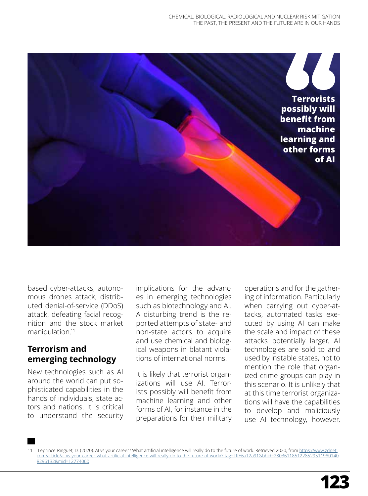

based cyber-attacks, autonomous drones attack, distributed denial-of-service (DDoS) attack, defeating facial recognition and the stock market manipulation.<sup>11</sup>

#### **Terrorism and emerging technology**

New technologies such as AI around the world can put sophisticated capabilities in the hands of individuals, state actors and nations. It is critical to understand the security

implications for the advances in emerging technologies such as biotechnology and AI. A disturbing trend is the reported attempts of state- and non-state actors to acquire and use chemical and biological weapons in blatant violations of international norms.

It is likely that terrorist organizations will use AI. Terrorists possibly will benefit from machine learning and other forms of AI, for instance in the preparations for their military

operations and for the gathering of information. Particularly when carrying out cyber-attacks, automated tasks executed by using AI can make the scale and impact of these attacks potentially larger. AI technologies are sold to and used by instable states, not to mention the role that organized crime groups can play in this scenario. It is unlikely that at this time terrorist organizations will have the capabilities to develop and maliciously use AI technology, however,

11 Leprince-Ringuet, D. (2020). AI vs your career? What artificial intelligence will really do to the future of work. Retrieved 2020, from [https://www.zdnet.](https://www.zdnet.com/article/ai-vs-your-career-what-artificial-intelligence-will-really-do-to-the-future-of-work/?ftag=TRE6a12a91&bhid=28036118512285295119801408296132&mid=12774060) [com/article/ai-vs-your-career-what-artificial-intelligence-will-really-do-to-the-future-of-work/?ftag=TRE6a12a91&bhid=2803611851228529511980140](https://www.zdnet.com/article/ai-vs-your-career-what-artificial-intelligence-will-really-do-to-the-future-of-work/?ftag=TRE6a12a91&bhid=28036118512285295119801408296132&mid=12774060) [8296132&mid=12774060](https://www.zdnet.com/article/ai-vs-your-career-what-artificial-intelligence-will-really-do-to-the-future-of-work/?ftag=TRE6a12a91&bhid=28036118512285295119801408296132&mid=12774060)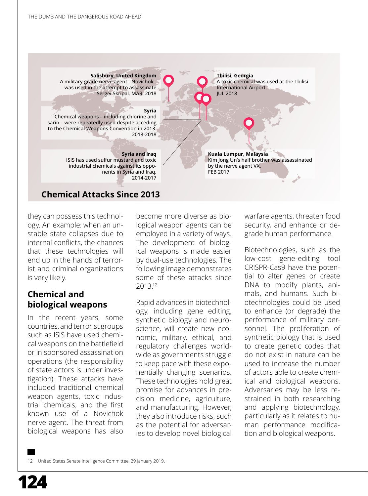**Salisbury, United Kingdom** A military-grade nerve agent - Novichok was used in the attempt to assassinate Sergei Skripal. MAR. 2018 **Syria**  Chemical weapons – including chlorine and sarin – were repeatedly used despite acceding to the Chemical Weapons Convention in 2013. 2013-2018 **Syria and Iraq** ISIS has used sulfur mustard and toxic industrial chemicals against its opponents in Syria and Iraq. 2014-2017 **Kuala Lumpur, Malaysia** Kim Jong Un's half brother was assassinated by the nerve agent VX. FEB 2017 **Tbilisi, Georgia** A toxic chemical was used at the Tbilisi International Airport. JUL 2018

#### **Chemical Attacks Since 2013**

they can possess this technology. An example: when an unstable state collapses due to internal conflicts, the chances that these technologies will end up in the hands of terrorist and criminal organizations is very likely.

#### **Chemical and biological weapons**

In the recent years, some countries, and terrorist groups such as ISIS have used chemical weapons on the battlefield or in sponsored assassination operations (the responsibility of state actors is under investigation). These attacks have included traditional chemical weapon agents, toxic industrial chemicals, and the first known use of a Novichok nerve agent. The threat from biological weapons has also become more diverse as biological weapon agents can be employed in a variety of ways. The development of biological weapons is made easier by dual-use technologies. The following image demonstrates some of these attacks since 2013.<sup>12</sup>

Rapid advances in biotechnology, including gene editing, synthetic biology and neuroscience, will create new economic, military, ethical, and regulatory challenges worldwide as governments struggle to keep pace with these exponentially changing scenarios. These technologies hold great promise for advances in precision medicine, agriculture, and manufacturing. However, they also introduce risks, such as the potential for adversaries to develop novel biological warfare agents, threaten food security, and enhance or degrade human performance.

Biotechnologies, such as the low-cost gene-editing tool CRISPR-Cas9 have the potential to alter genes or create DNA to modify plants, animals, and humans. Such biotechnologies could be used to enhance (or degrade) the performance of military personnel. The proliferation of synthetic biology that is used to create genetic codes that do not exist in nature can be used to increase the number of actors able to create chemical and biological weapons. Adversaries may be less restrained in both researching and applying biotechnology, particularly as it relates to human performance modification and biological weapons.

12 United States Senate Intelligence Committee, 29 January 2019.

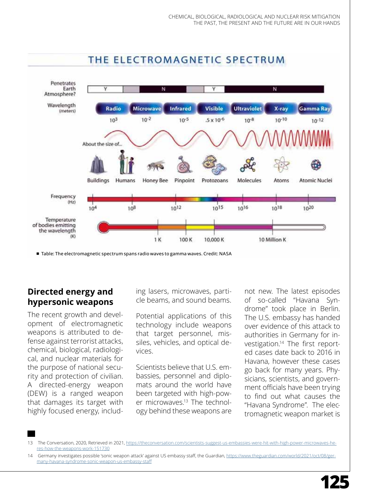

### THE ELECTROMAGNETIC SPECTRUM

¾ Table: The electromagnetic spectrum spans radio waves to gamma waves. Credit: NASA

#### **Directed energy and hypersonic weapons**

The recent growth and development of electromagnetic weapons is attributed to defense against terrorist attacks, chemical, biological, radiological, and nuclear materials for the purpose of national security and protection of civilian. A directed-energy weapon (DEW) is a ranged weapon that damages its target with highly focused energy, including lasers, microwaves, particle beams, and sound beams.

Potential applications of this technology include weapons that target personnel, missiles, vehicles, and optical devices.

Scientists believe that U.S. embassies, personnel and diplomats around the world have been targeted with high-power microwaves.<sup>13</sup> The technology behind these weapons are

not new. The latest episodes of so-called "Havana Syndrome" took place in Berlin. The U.S. embassy has handed over evidence of this attack to authorities in Germany for investigation.<sup>14</sup> The first reported cases date back to 2016 in Havana, however these cases go back for many years. Physicians, scientists, and government officials have been trying to find out what causes the "Havana Syndrome". The electromagnetic weapon market is

<sup>13</sup> The Conversation, 2020, Retrieved in 2021, [https://theconversation.com/scientists-suggest-us-embassies-were-hit-with-high-power-microwaves-he](https://theconversation.com/scientists-suggest-us-embassies-were-hit-with-high-power-microwaves-heres-how-the-weapons-work-151730)[res-how-the-weapons-work-151730](https://theconversation.com/scientists-suggest-us-embassies-were-hit-with-high-power-microwaves-heres-how-the-weapons-work-151730)

<sup>14</sup> Germany investigates possible 'sonic weapon attack' against US embassy staff, the Guardian, [https://www.theguardian.com/world/2021/oct/08/ger](https://www.theguardian.com/world/2021/oct/08/germany-havana-syndrome-sonic-weapon-us-embassy-staff)[many-havana-syndrome-sonic-weapon-us-embassy-staff](https://www.theguardian.com/world/2021/oct/08/germany-havana-syndrome-sonic-weapon-us-embassy-staff)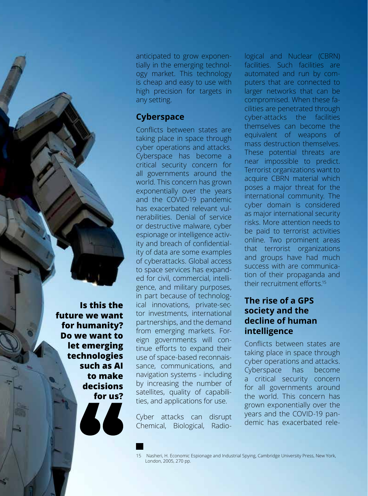anticipated to grow exponentially in the emerging technology market. This technology is cheap and easy to use with high precision for targets in any setting.

#### **Cyberspace**

Conflicts between states are taking place in space through cyber operations and attacks. Cyberspace has become a critical security concern for all governments around the world. This concern has grown exponentially over the years and the COVID-19 pandemic has exacerbated relevant vulnerabilities. Denial of service or destructive malware, cyber espionage or intelligence activity and breach of confidentiality of data are some examples of cyberattacks. Global access to space services has expanded for civil, commercial, intelligence, and military purposes, in part because of technological innovations, private-sector investments, international partnerships, and the demand from emerging markets. Foreign governments will continue efforts to expand their use of space-based reconnaissance, communications, and navigation systems - including by increasing the number of satellites, quality of capabilities, and applications for use.

Cyber attacks can disrupt Chemical, Biological, Radiological and Nuclear (CBRN) facilities. Such facilities are automated and run by computers that are connected to larger networks that can be compromised. When these facilities are penetrated through cyber-attacks the facilities themselves can become the equivalent of weapons of mass destruction themselves. These potential threats are near impossible to predict. Terrorist organizations want to acquire CBRN material which poses a major threat for the international community. The cyber domain is considered as major international security risks. More attention needs to be paid to terrorist activities online. Two prominent areas that terrorist organizations and groups have had much success with are communication of their propaganda and their recruitment efforts.15

#### **The rise of a GPS society and the decline of human intelligence**

Conflicts between states are taking place in space through cyber operations and attacks. Cyberspace has become a critical security concern for all governments around the world. This concern has grown exponentially over the years and the COVID-19 pandemic has exacerbated rele-

**Is this the future we want for humanity? Do we want to let emerging technologies such as AI to make decisions for us?**

**126**

<sup>15</sup> Nasheri, H. Economic Espionage and Industrial Spying, Cambridge University Press, New York, London, 2005, 270 pp.